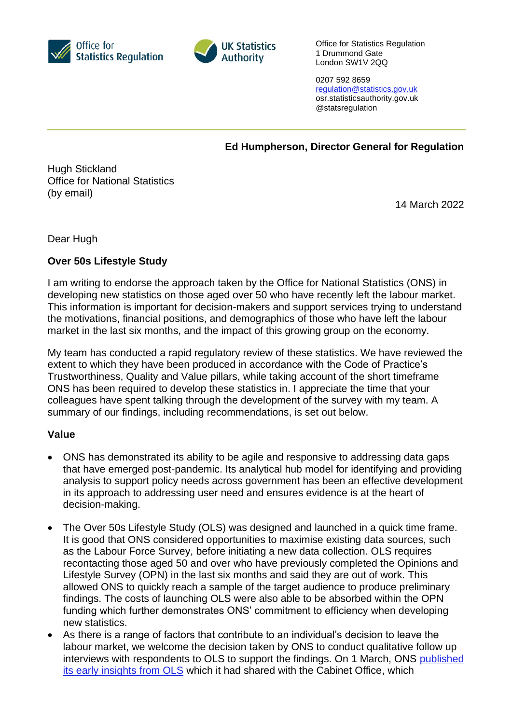



Office for Statistics Regulation 1 Drummond Gate London SW1V 2QQ

0207 592 8659 [regulation@statistics.gov.uk](mailto:E:%E2%80%82regulation@statistics.gov.uk) osr.statisticsauthority.gov.uk @statsregulation

**Ed Humpherson, Director General for Regulation**

Hugh Stickland Office for National Statistics (by email)

14 March 2022

Dear Hugh

## **Over 50s Lifestyle Study**

I am writing to endorse the approach taken by the Office for National Statistics (ONS) in developing new statistics on those aged over 50 who have recently left the labour market. This information is important for decision-makers and support services trying to understand the motivations, financial positions, and demographics of those who have left the labour market in the last six months, and the impact of this growing group on the economy.

My team has conducted a rapid regulatory review of these statistics. We have reviewed the extent to which they have been produced in accordance with the Code of Practice's Trustworthiness, Quality and Value pillars, while taking account of the short timeframe ONS has been required to develop these statistics in. I appreciate the time that your colleagues have spent talking through the development of the survey with my team. A summary of our findings, including recommendations, is set out below.

## **Value**

- ONS has demonstrated its ability to be agile and responsive to addressing data gaps that have emerged post-pandemic. Its analytical hub model for identifying and providing analysis to support policy needs across government has been an effective development in its approach to addressing user need and ensures evidence is at the heart of decision-making.
- The Over 50s Lifestyle Study (OLS) was designed and launched in a quick time frame. It is good that ONS considered opportunities to maximise existing data sources, such as the Labour Force Survey, before initiating a new data collection. OLS requires recontacting those aged 50 and over who have previously completed the Opinions and Lifestyle Survey (OPN) in the last six months and said they are out of work. This allowed ONS to quickly reach a sample of the target audience to produce preliminary findings. The costs of launching OLS were also able to be absorbed within the OPN funding which further demonstrates ONS' commitment to efficiency when developing new statistics.
- As there is a range of factors that contribute to an individual's decision to leave the labour market, we welcome the decision taken by ONS to conduct qualitative follow up interviews with respondents to OLS to support the findings. On 1 March, ONS [published](https://www.ons.gov.uk/employmentandlabourmarket/peoplenotinwork/economicinactivity/bulletins/earlyinsightsfromtheover50slifestylestudygreatbritain/1march2022)  [its early insights from OLS](https://www.ons.gov.uk/employmentandlabourmarket/peoplenotinwork/economicinactivity/bulletins/earlyinsightsfromtheover50slifestylestudygreatbritain/1march2022) which it had shared with the Cabinet Office, which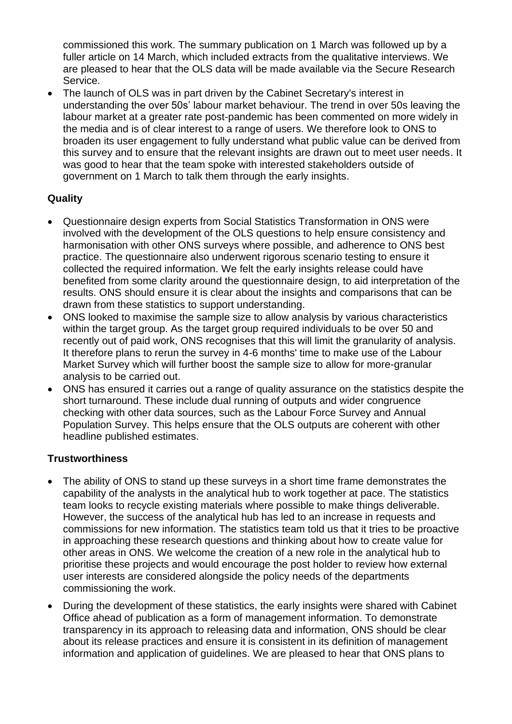commissioned this work. The summary publication on 1 March was followed up by a fuller article on 14 March, which included extracts from the qualitative interviews. We are pleased to hear that the OLS data will be made available via the Secure Research Service.

• The launch of OLS was in part driven by the Cabinet Secretary's interest in understanding the over 50s' labour market behaviour. The trend in over 50s leaving the labour market at a greater rate post-pandemic has been commented on more widely in the media and is of clear interest to a range of users. We therefore look to ONS to broaden its user engagement to fully understand what public value can be derived from this survey and to ensure that the relevant insights are drawn out to meet user needs. It was good to hear that the team spoke with interested stakeholders outside of government on 1 March to talk them through the early insights.

## **Quality**

- Questionnaire design experts from Social Statistics Transformation in ONS were involved with the development of the OLS questions to help ensure consistency and harmonisation with other ONS surveys where possible, and adherence to ONS best practice. The questionnaire also underwent rigorous scenario testing to ensure it collected the required information. We felt the early insights release could have benefited from some clarity around the questionnaire design, to aid interpretation of the results. ONS should ensure it is clear about the insights and comparisons that can be drawn from these statistics to support understanding.
- ONS looked to maximise the sample size to allow analysis by various characteristics within the target group. As the target group required individuals to be over 50 and recently out of paid work, ONS recognises that this will limit the granularity of analysis. It therefore plans to rerun the survey in 4-6 months' time to make use of the Labour Market Survey which will further boost the sample size to allow for more-granular analysis to be carried out.
- ONS has ensured it carries out a range of quality assurance on the statistics despite the short turnaround. These include dual running of outputs and wider congruence checking with other data sources, such as the Labour Force Survey and Annual Population Survey. This helps ensure that the OLS outputs are coherent with other headline published estimates.

## **Trustworthiness**

- The ability of ONS to stand up these surveys in a short time frame demonstrates the capability of the analysts in the analytical hub to work together at pace. The statistics team looks to recycle existing materials where possible to make things deliverable. However, the success of the analytical hub has led to an increase in requests and commissions for new information. The statistics team told us that it tries to be proactive in approaching these research questions and thinking about how to create value for other areas in ONS. We welcome the creation of a new role in the analytical hub to prioritise these projects and would encourage the post holder to review how external user interests are considered alongside the policy needs of the departments commissioning the work.
- During the development of these statistics, the early insights were shared with Cabinet Office ahead of publication as a form of management information. To demonstrate transparency in its approach to releasing data and information, ONS should be clear about its release practices and ensure it is consistent in its definition of management information and application of guidelines. We are pleased to hear that ONS plans to